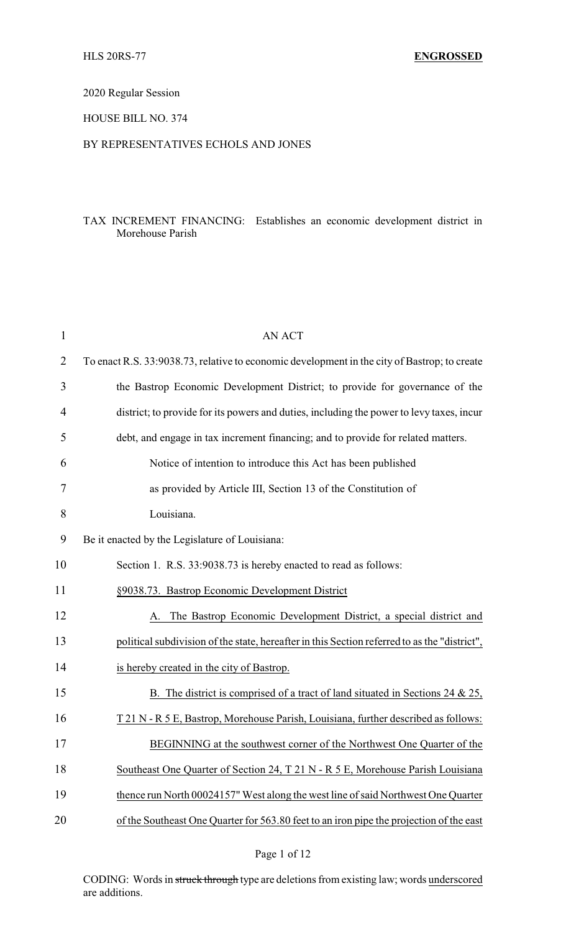# 2020 Regular Session

### HOUSE BILL NO. 374

# BY REPRESENTATIVES ECHOLS AND JONES

## TAX INCREMENT FINANCING: Establishes an economic development district in Morehouse Parish

| $\mathbf 1$    | <b>AN ACT</b>                                                                                |
|----------------|----------------------------------------------------------------------------------------------|
| $\overline{2}$ | To enact R.S. 33:9038.73, relative to economic development in the city of Bastrop; to create |
| 3              | the Bastrop Economic Development District; to provide for governance of the                  |
| 4              | district; to provide for its powers and duties, including the power to levy taxes, incur     |
| 5              | debt, and engage in tax increment financing; and to provide for related matters.             |
| 6              | Notice of intention to introduce this Act has been published                                 |
| 7              | as provided by Article III, Section 13 of the Constitution of                                |
| 8              | Louisiana.                                                                                   |
| 9              | Be it enacted by the Legislature of Louisiana:                                               |
| 10             | Section 1. R.S. 33:9038.73 is hereby enacted to read as follows:                             |
| 11             | §9038.73. Bastrop Economic Development District                                              |
| 12             | The Bastrop Economic Development District, a special district and<br>A.                      |
| 13             | political subdivision of the state, hereafter in this Section referred to as the "district", |
| 14             | is hereby created in the city of Bastrop.                                                    |
| 15             | B. The district is comprised of a tract of land situated in Sections 24 $\&$ 25,             |
| 16             | T 21 N - R 5 E, Bastrop, Morehouse Parish, Louisiana, further described as follows:          |
| 17             | BEGINNING at the southwest corner of the Northwest One Quarter of the                        |
| 18             | Southeast One Quarter of Section 24, T 21 N - R 5 E, Morehouse Parish Louisiana              |
| 19             | thence run North 00024157" West along the west line of said Northwest One Quarter            |
| 20             | of the Southeast One Quarter for 563.80 feet to an iron pipe the projection of the east      |
|                |                                                                                              |

CODING: Words in struck through type are deletions from existing law; words underscored are additions.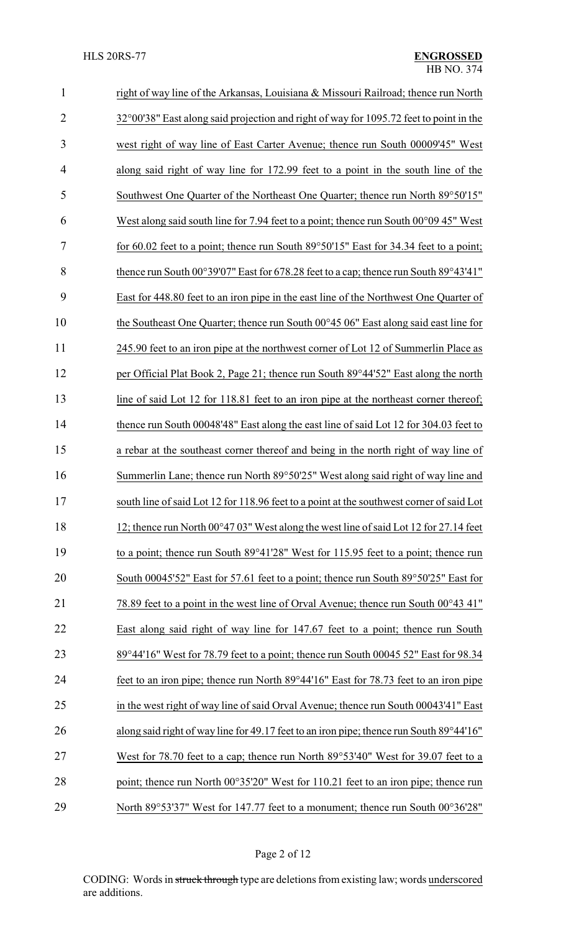| $\mathbf{1}$   | right of way line of the Arkansas, Louisiana & Missouri Railroad; thence run North              |
|----------------|-------------------------------------------------------------------------------------------------|
| $\overline{2}$ | 32°00′38″ East along said projection and right of way for 1095.72 feet to point in the          |
| 3              | west right of way line of East Carter Avenue; thence run South 00009'45" West                   |
| $\overline{4}$ | along said right of way line for 172.99 feet to a point in the south line of the                |
| 5              | Southwest One Quarter of the Northeast One Quarter; thence run North 89°50'15"                  |
| 6              | West along said south line for 7.94 feet to a point; thence run South $00^{\circ}0945$ " West   |
| 7              | for 60.02 feet to a point; thence run South $89^{\circ}50'15''$ East for 34.34 feet to a point; |
| 8              | thence run South 00°39'07" East for 678.28 feet to a cap; thence run South 89°43'41"            |
| 9              | East for 448.80 feet to an iron pipe in the east line of the Northwest One Quarter of           |
| 10             | the Southeast One Quarter; thence run South 00°45 06" East along said east line for             |
| 11             | 245.90 feet to an iron pipe at the northwest corner of Lot 12 of Summerlin Place as             |
| 12             | per Official Plat Book 2, Page 21; thence run South 89°44'52" East along the north              |
| 13             | line of said Lot 12 for 118.81 feet to an iron pipe at the northeast corner thereof;            |
| 14             | thence run South 00048'48" East along the east line of said Lot 12 for 304.03 feet to           |
| 15             | a rebar at the southeast corner thereof and being in the north right of way line of             |
| 16             | Summerlin Lane; thence run North 89°50'25" West along said right of way line and                |
| 17             | south line of said Lot 12 for 118.96 feet to a point at the southwest corner of said Lot        |
| 18             | 12; thence run North $00^{\circ}47.03$ " West along the west line of said Lot 12 for 27.14 feet |
| 19             | to a point; thence run South 89°41'28" West for 115.95 feet to a point; thence run              |
| 20             | South 00045'52" East for 57.61 feet to a point; thence run South 89°50'25" East for             |
| 21             | 78.89 feet to a point in the west line of Orval Avenue; thence run South 00°43 41"              |
| 22             | East along said right of way line for 147.67 feet to a point; thence run South                  |
| 23             | 89°44'16" West for 78.79 feet to a point; thence run South 00045 52" East for 98.34             |
| 24             | feet to an iron pipe; thence run North 89°44'16" East for 78.73 feet to an iron pipe            |
| 25             | in the west right of way line of said Orval Avenue; thence run South 00043'41" East             |
| 26             | along said right of way line for 49.17 feet to an iron pipe; thence run South 89°44'16"         |
| 27             | West for 78.70 feet to a cap; thence run North 89°53'40" West for 39.07 feet to a               |
| 28             | point; thence run North 00°35'20" West for 110.21 feet to an iron pipe; thence run              |
| 29             | North 89°53'37" West for 147.77 feet to a monument; thence run South 00°36'28"                  |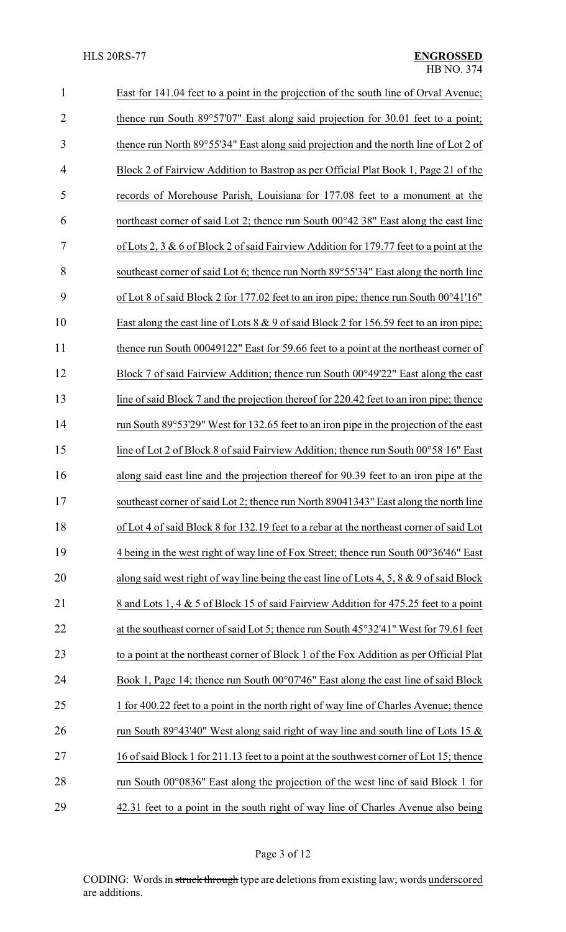| $\mathbf{1}$   | East for 141.04 feet to a point in the projection of the south line of Orval Avenue;       |
|----------------|--------------------------------------------------------------------------------------------|
| $\overline{2}$ | thence run South 89°57'07" East along said projection for 30.01 feet to a point;           |
| 3              | thence run North 89°55'34" East along said projection and the north line of Lot 2 of       |
| 4              | Block 2 of Fairview Addition to Bastrop as per Official Plat Book 1, Page 21 of the        |
| 5              | records of Morehouse Parish, Louisiana for 177.08 feet to a monument at the                |
| 6              | northeast corner of said Lot 2; thence run South 00°42 38" East along the east line        |
| 7              | of Lots 2, 3 & 6 of Block 2 of said Fairview Addition for 179.77 feet to a point at the    |
| 8              | southeast corner of said Lot 6; thence run North 89°55'34" East along the north line       |
| 9              | of Lot 8 of said Block 2 for 177.02 feet to an iron pipe; thence run South 00°41'16"       |
| 10             | East along the east line of Lots $8 \& 9$ of said Block 2 for 156.59 feet to an iron pipe; |
| 11             | thence run South 00049122" East for 59.66 feet to a point at the northeast corner of       |
| 12             | Block 7 of said Fairview Addition; thence run South 00°49'22" East along the east          |
| 13             | line of said Block 7 and the projection thereof for 220.42 feet to an iron pipe; thence    |
| 14             | run South 89°53'29" West for 132.65 feet to an iron pipe in the projection of the east     |
| 15             | line of Lot 2 of Block 8 of said Fairview Addition; thence run South 00°58 16" East        |
| 16             | along said east line and the projection thereof for 90.39 feet to an iron pipe at the      |
| 17             | southeast corner of said Lot 2; thence run North 89041343" East along the north line       |
| 18             | of Lot 4 of said Block 8 for 132.19 feet to a rebar at the northeast corner of said Lot    |
| 19             | 4 being in the west right of way line of Fox Street; thence run South 00°36'46" East       |
| 20             | along said west right of way line being the east line of Lots 4, 5, 8 $\&$ 9 of said Block |
| 21             | 8 and Lots 1, 4 & 5 of Block 15 of said Fairview Addition for 475.25 feet to a point       |
| 22             | at the southeast corner of said Lot 5; thence run South 45°32'41" West for 79.61 feet      |
| 23             | to a point at the northeast corner of Block 1 of the Fox Addition as per Official Plat     |
| 24             | Book 1, Page 14; thence run South 00°07'46" East along the east line of said Block         |
| 25             | 1 for 400.22 feet to a point in the north right of way line of Charles Avenue; thence      |
| 26             | run South 89°43'40" West along said right of way line and south line of Lots 15 $\&$       |
| 27             | 16 of said Block 1 for 211.13 feet to a point at the southwest corner of Lot 15; thence    |
| 28             | run South 00°0836" East along the projection of the west line of said Block 1 for          |
| 29             | 42.31 feet to a point in the south right of way line of Charles Avenue also being          |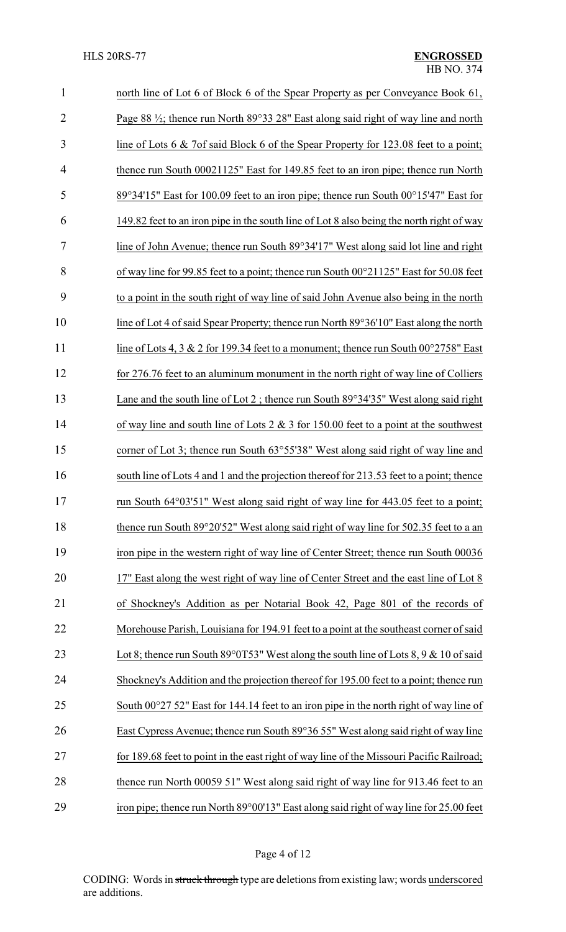| $\mathbf{1}$   | north line of Lot 6 of Block 6 of the Spear Property as per Conveyance Book 61,                 |
|----------------|-------------------------------------------------------------------------------------------------|
| $\overline{2}$ | Page 88 $\frac{1}{2}$ ; thence run North 89°33 28" East along said right of way line and north  |
| 3              | line of Lots 6 & 7of said Block 6 of the Spear Property for 123.08 feet to a point;             |
| $\overline{4}$ | thence run South 00021125" East for 149.85 feet to an iron pipe; thence run North               |
| 5              | 89°34'15" East for 100.09 feet to an iron pipe; thence run South 00°15'47" East for             |
| 6              | 149.82 feet to an iron pipe in the south line of Lot 8 also being the north right of way        |
| 7              | line of John Avenue; thence run South 89°34'17" West along said lot line and right              |
| 8              | of way line for 99.85 feet to a point; thence run South 00°21125" East for 50.08 feet           |
| 9              | to a point in the south right of way line of said John Avenue also being in the north           |
| 10             | line of Lot 4 of said Spear Property; thence run North 89°36'10" East along the north           |
| 11             | line of Lots 4, 3 & 2 for 199.34 feet to a monument; thence run South $00^{\circ}2758$ " East   |
| 12             | for 276.76 feet to an aluminum monument in the north right of way line of Colliers              |
| 13             | Lane and the south line of Lot 2; thence run South $89^{\circ}34'35''$ West along said right    |
| 14             | of way line and south line of Lots $2 \& 3$ for 150.00 feet to a point at the southwest         |
| 15             | corner of Lot 3; thence run South 63°55'38" West along said right of way line and               |
| 16             | south line of Lots 4 and 1 and the projection thereof for 213.53 feet to a point; thence        |
| 17             | run South 64°03'51" West along said right of way line for 443.05 feet to a point;               |
| 18             | thence run South 89°20'52" West along said right of way line for 502.35 feet to a an            |
| 19             | iron pipe in the western right of way line of Center Street; thence run South 00036             |
| 20             | 17" East along the west right of way line of Center Street and the east line of Lot 8           |
| 21             | of Shockney's Addition as per Notarial Book 42, Page 801 of the records of                      |
| 22             | Morehouse Parish, Louisiana for 194.91 feet to a point at the southeast corner of said          |
| 23             | Lot 8; thence run South 89 $\degree$ 0T53" West along the south line of Lots 8, 9 & 10 of said  |
| 24             | Shockney's Addition and the projection thereof for 195.00 feet to a point; thence run           |
| 25             | South $00^{\circ}27$ 52" East for 144.14 feet to an iron pipe in the north right of way line of |
| 26             | East Cypress Avenue; thence run South 89°36 55" West along said right of way line               |
| 27             | for 189.68 feet to point in the east right of way line of the Missouri Pacific Railroad;        |
| 28             | thence run North 00059 51" West along said right of way line for 913.46 feet to an              |
| 29             | iron pipe; thence run North 89°00'13" East along said right of way line for 25.00 feet          |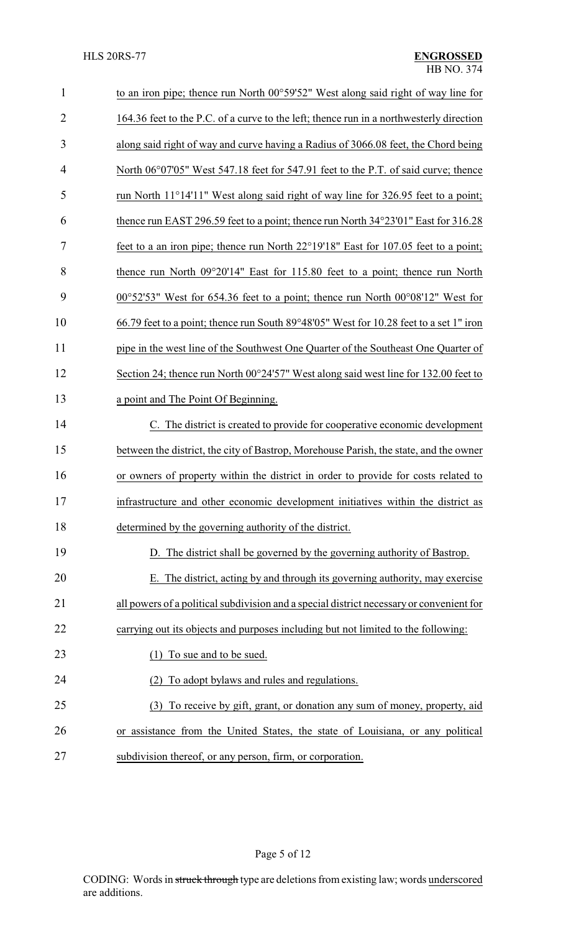| $\mathbf{1}$   | to an iron pipe; thence run North 00°59'52" West along said right of way line for                  |
|----------------|----------------------------------------------------------------------------------------------------|
| $\overline{2}$ | 164.36 feet to the P.C. of a curve to the left; thence run in a northwesterly direction            |
| 3              | along said right of way and curve having a Radius of 3066.08 feet, the Chord being                 |
| 4              | North 06°07'05" West 547.18 feet for 547.91 feet to the P.T. of said curve; thence                 |
| 5              | run North 11°14'11" West along said right of way line for 326.95 feet to a point;                  |
| 6              | thence run EAST 296.59 feet to a point; thence run North 34°23'01" East for 316.28                 |
| 7              | feet to a an iron pipe; thence run North 22°19'18" East for 107.05 feet to a point;                |
| 8              | thence run North 09°20'14" East for 115.80 feet to a point; thence run North                       |
| 9              | $00^{\circ}52'53''$ West for 654.36 feet to a point; thence run North $00^{\circ}08'12''$ West for |
| 10             | 66.79 feet to a point; thence run South 89°48′05" West for 10.28 feet to a set 1" iron             |
| 11             | pipe in the west line of the Southwest One Quarter of the Southeast One Quarter of                 |
| 12             | Section 24; thence run North 00°24'57" West along said west line for 132.00 feet to                |
| 13             | a point and The Point Of Beginning.                                                                |
| 14             | C. The district is created to provide for cooperative economic development                         |
| 15             | between the district, the city of Bastrop, Morehouse Parish, the state, and the owner              |
| 16             | or owners of property within the district in order to provide for costs related to                 |
| 17             | infrastructure and other economic development initiatives within the district as                   |
| 18             | determined by the governing authority of the district.                                             |
| 19             | D. The district shall be governed by the governing authority of Bastrop.                           |
| 20             | E. The district, acting by and through its governing authority, may exercise                       |
| 21             | all powers of a political subdivision and a special district necessary or convenient for           |
| 22             | carrying out its objects and purposes including but not limited to the following:                  |
| 23             | To sue and to be sued.                                                                             |
| 24             | To adopt by laws and rules and regulations.                                                        |
| 25             | To receive by gift, grant, or donation any sum of money, property, aid<br>(3)                      |
| 26             | or assistance from the United States, the state of Louisiana, or any political                     |
| 27             | subdivision thereof, or any person, firm, or corporation.                                          |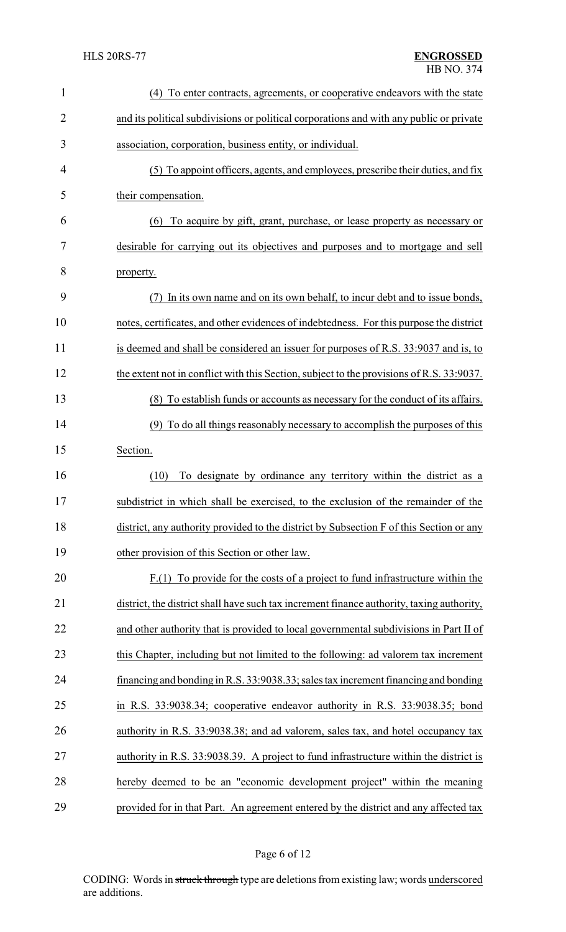| $\mathbf{1}$ | To enter contracts, agreements, or cooperative endeavors with the state<br>(4)            |  |
|--------------|-------------------------------------------------------------------------------------------|--|
| 2            | and its political subdivisions or political corporations and with any public or private   |  |
| 3            | association, corporation, business entity, or individual.                                 |  |
| 4            | (5) To appoint officers, agents, and employees, prescribe their duties, and fix           |  |
| 5            | their compensation.                                                                       |  |
| 6            | To acquire by gift, grant, purchase, or lease property as necessary or<br>(6)             |  |
| 7            | desirable for carrying out its objectives and purposes and to mortgage and sell           |  |
| 8            | property.                                                                                 |  |
| 9            | In its own name and on its own behalf, to incur debt and to issue bonds,<br>(7)           |  |
| 10           | notes, certificates, and other evidences of indebtedness. For this purpose the district   |  |
| 11           | is deemed and shall be considered an issuer for purposes of R.S. 33:9037 and is, to       |  |
| 12           | the extent not in conflict with this Section, subject to the provisions of R.S. 33:9037.  |  |
| 13           | (8) To establish funds or accounts as necessary for the conduct of its affairs.           |  |
| 14           | (9) To do all things reasonably necessary to accomplish the purposes of this              |  |
| 15           | Section.                                                                                  |  |
| 16           | (10)<br>To designate by ordinance any territory within the district as a                  |  |
| 17           | subdistrict in which shall be exercised, to the exclusion of the remainder of the         |  |
| 18           | district, any authority provided to the district by Subsection F of this Section or any   |  |
| 19           | other provision of this Section or other law.                                             |  |
| 20           | $F(1)$ To provide for the costs of a project to fund infrastructure within the            |  |
| 21           | district, the district shall have such tax increment finance authority, taxing authority, |  |
| 22           | and other authority that is provided to local governmental subdivisions in Part II of     |  |
| 23           | this Chapter, including but not limited to the following: ad valorem tax increment        |  |
| 24           | financing and bonding in R.S. 33:9038.33; sales tax increment financing and bonding       |  |
| 25           | in R.S. 33:9038.34; cooperative endeavor authority in R.S. 33:9038.35; bond               |  |
| 26           | authority in R.S. 33:9038.38; and ad valorem, sales tax, and hotel occupancy tax          |  |
| 27           | authority in R.S. 33:9038.39. A project to fund infrastructure within the district is     |  |
| 28           | hereby deemed to be an "economic development project" within the meaning                  |  |
| 29           | provided for in that Part. An agreement entered by the district and any affected tax      |  |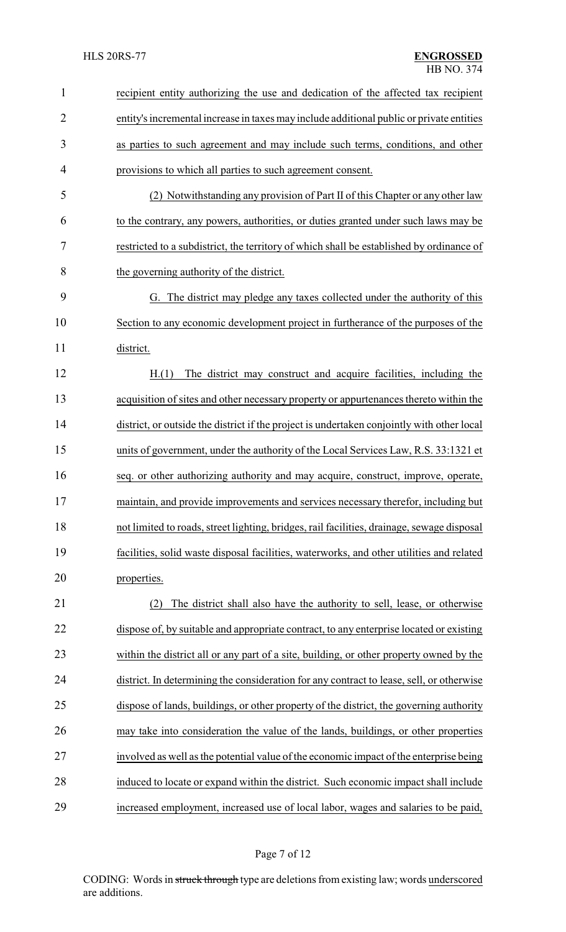| 1              | recipient entity authorizing the use and dedication of the affected tax recipient          |
|----------------|--------------------------------------------------------------------------------------------|
| $\overline{2}$ | entity's incremental increase in taxes may include additional public or private entities   |
| 3              | as parties to such agreement and may include such terms, conditions, and other             |
| 4              | provisions to which all parties to such agreement consent.                                 |
| 5              | (2) Notwithstanding any provision of Part II of this Chapter or any other law              |
| 6              | to the contrary, any powers, authorities, or duties granted under such laws may be         |
| 7              | restricted to a subdistrict, the territory of which shall be established by ordinance of   |
| 8              | the governing authority of the district.                                                   |
| 9              | G. The district may pledge any taxes collected under the authority of this                 |
| 10             | Section to any economic development project in furtherance of the purposes of the          |
| 11             | district.                                                                                  |
| 12             | The district may construct and acquire facilities, including the<br>H(1)                   |
| 13             | acquisition of sites and other necessary property or appurtenances thereto within the      |
| 14             | district, or outside the district if the project is undertaken conjointly with other local |
| 15             | units of government, under the authority of the Local Services Law, R.S. 33:1321 et        |
| 16             | seq. or other authorizing authority and may acquire, construct, improve, operate,          |
| 17             | maintain, and provide improvements and services necessary therefor, including but          |
| 18             | not limited to roads, street lighting, bridges, rail facilities, drainage, sewage disposal |
| 19             | facilities, solid waste disposal facilities, waterworks, and other utilities and related   |
| 20             | properties.                                                                                |
| 21             | The district shall also have the authority to sell, lease, or otherwise<br>(2)             |
| 22             | dispose of, by suitable and appropriate contract, to any enterprise located or existing    |
| 23             | within the district all or any part of a site, building, or other property owned by the    |
| 24             | district. In determining the consideration for any contract to lease, sell, or otherwise   |
| 25             | dispose of lands, buildings, or other property of the district, the governing authority    |
| 26             | may take into consideration the value of the lands, buildings, or other properties         |
| 27             | involved as well as the potential value of the economic impact of the enterprise being     |
| 28             | induced to locate or expand within the district. Such economic impact shall include        |
| 29             | increased employment, increased use of local labor, wages and salaries to be paid,         |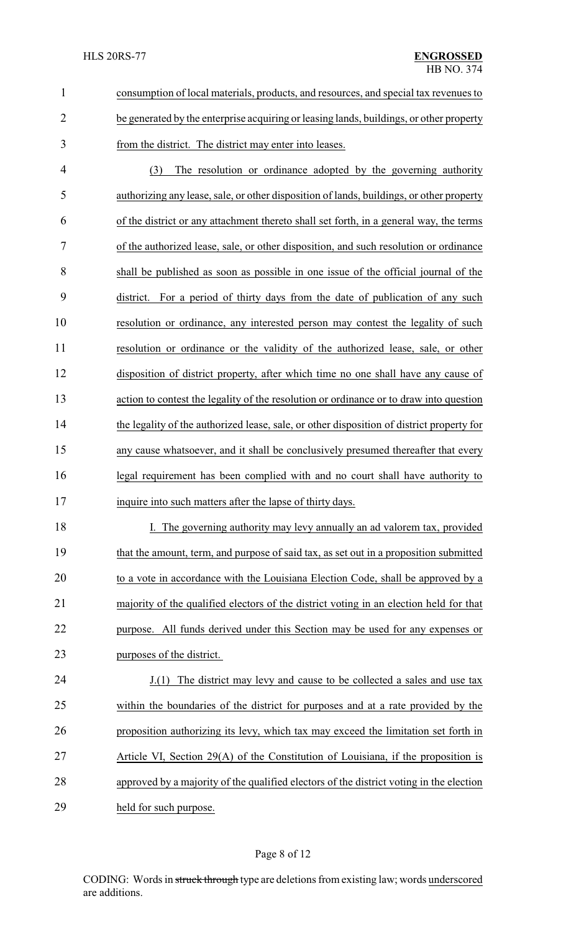|   | consumption of local materials, products, and resources, and special tax revenues to    |
|---|-----------------------------------------------------------------------------------------|
|   | be generated by the enterprise acquiring or leasing lands, buildings, or other property |
| 3 | from the district. The district may enter into leases.                                  |

 (3) The resolution or ordinance adopted by the governing authority authorizing any lease, sale, or other disposition of lands, buildings, or other property of the district or any attachment thereto shall set forth, in a general way, the terms of the authorized lease, sale, or other disposition, and such resolution or ordinance shall be published as soon as possible in one issue of the official journal of the district. For a period of thirty days from the date of publication of any such resolution or ordinance, any interested person may contest the legality of such resolution or ordinance or the validity of the authorized lease, sale, or other disposition of district property, after which time no one shall have any cause of action to contest the legality of the resolution or ordinance or to draw into question the legality of the authorized lease, sale, or other disposition of district property for any cause whatsoever, and it shall be conclusively presumed thereafter that every legal requirement has been complied with and no court shall have authority to inquire into such matters after the lapse of thirty days.

18 I. The governing authority may levy annually an ad valorem tax, provided that the amount, term, and purpose of said tax, as set out in a proposition submitted to a vote in accordance with the Louisiana Election Code, shall be approved by a majority of the qualified electors of the district voting in an election held for that purpose. All funds derived under this Section may be used for any expenses or purposes of the district.

24 J.(1) The district may levy and cause to be collected a sales and use tax within the boundaries of the district for purposes and at a rate provided by the proposition authorizing its levy, which tax may exceed the limitation set forth in Article VI, Section 29(A) of the Constitution of Louisiana, if the proposition is approved by a majority of the qualified electors of the district voting in the election held for such purpose.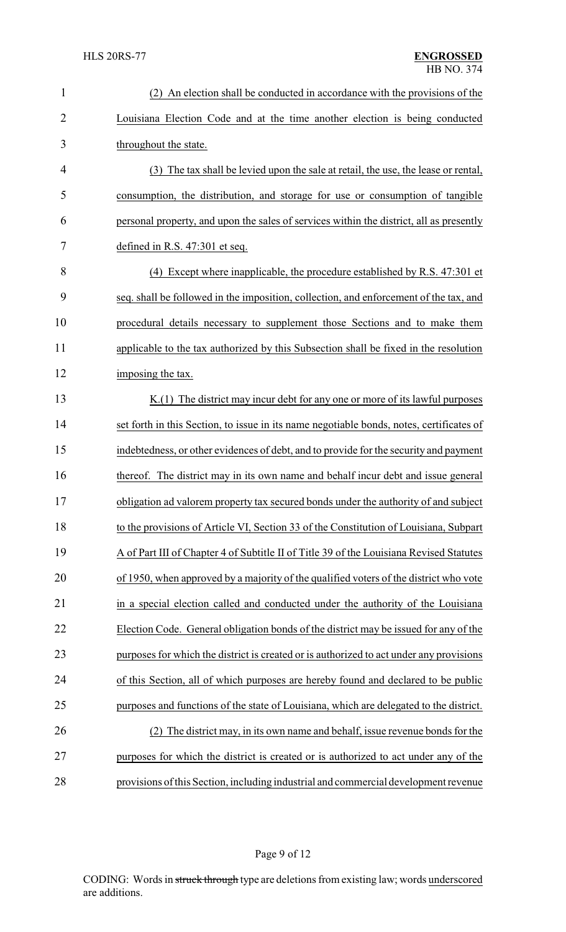| $\mathbf{1}$   | (2) An election shall be conducted in accordance with the provisions of the              |
|----------------|------------------------------------------------------------------------------------------|
| $\overline{2}$ | Louisiana Election Code and at the time another election is being conducted              |
| 3              | throughout the state.                                                                    |
| $\overline{4}$ | (3) The tax shall be levied upon the sale at retail, the use, the lease or rental,       |
| 5              | consumption, the distribution, and storage for use or consumption of tangible            |
| 6              | personal property, and upon the sales of services within the district, all as presently  |
| 7              | defined in R.S. $47:301$ et seq.                                                         |
| 8              | (4) Except where inapplicable, the procedure established by R.S. 47:301 et               |
| 9              | seq. shall be followed in the imposition, collection, and enforcement of the tax, and    |
| 10             | procedural details necessary to supplement those Sections and to make them               |
| 11             | applicable to the tax authorized by this Subsection shall be fixed in the resolution     |
| 12             | imposing the tax.                                                                        |
| 13             | $K(1)$ The district may incur debt for any one or more of its lawful purposes            |
| 14             | set forth in this Section, to issue in its name negotiable bonds, notes, certificates of |
| 15             | indebtedness, or other evidences of debt, and to provide for the security and payment    |
| 16             | thereof. The district may in its own name and behalf incur debt and issue general        |
| 17             | obligation ad valorem property tax secured bonds under the authority of and subject      |
| 18             | to the provisions of Article VI, Section 33 of the Constitution of Louisiana, Subpart    |
| 19             | A of Part III of Chapter 4 of Subtitle II of Title 39 of the Louisiana Revised Statutes  |
| 20             | of 1950, when approved by a majority of the qualified voters of the district who vote    |
| 21             | in a special election called and conducted under the authority of the Louisiana          |
| 22             | Election Code. General obligation bonds of the district may be issued for any of the     |
| 23             | purposes for which the district is created or is authorized to act under any provisions  |
| 24             | of this Section, all of which purposes are hereby found and declared to be public        |
| 25             | purposes and functions of the state of Louisiana, which are delegated to the district.   |
| 26             | (2) The district may, in its own name and behalf, issue revenue bonds for the            |
| 27             | purposes for which the district is created or is authorized to act under any of the      |
| 28             | provisions of this Section, including industrial and commercial development revenue      |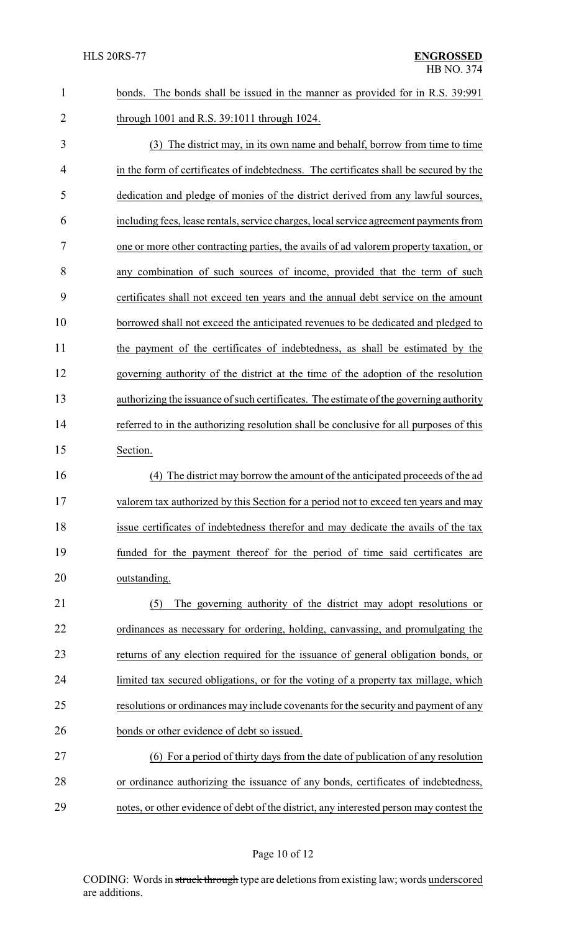| $\mathbf{1}$   | The bonds shall be issued in the manner as provided for in R.S. 39:991<br>bonds.        |  |  |
|----------------|-----------------------------------------------------------------------------------------|--|--|
| $\overline{2}$ | through 1001 and R.S. 39:1011 through 1024.                                             |  |  |
| 3              | (3) The district may, in its own name and behalf, borrow from time to time              |  |  |
| $\overline{4}$ | in the form of certificates of indebtedness. The certificates shall be secured by the   |  |  |
| 5              | dedication and pledge of monies of the district derived from any lawful sources,        |  |  |
| 6              | including fees, lease rentals, service charges, local service agreement payments from   |  |  |
| 7              | one or more other contracting parties, the avails of ad valorem property taxation, or   |  |  |
| 8              | any combination of such sources of income, provided that the term of such               |  |  |
| 9              | certificates shall not exceed ten years and the annual debt service on the amount       |  |  |
| 10             | borrowed shall not exceed the anticipated revenues to be dedicated and pledged to       |  |  |
| 11             | the payment of the certificates of indebtedness, as shall be estimated by the           |  |  |
| 12             | governing authority of the district at the time of the adoption of the resolution       |  |  |
| 13             | authorizing the issuance of such certificates. The estimate of the governing authority  |  |  |
| 14             | referred to in the authorizing resolution shall be conclusive for all purposes of this  |  |  |
| 15             | Section.                                                                                |  |  |
| 16             | The district may borrow the amount of the anticipated proceeds of the ad<br>(4)         |  |  |
| 17             | valorem tax authorized by this Section for a period not to exceed ten years and may     |  |  |
| 18             | issue certificates of indebtedness therefor and may dedicate the avails of the tax      |  |  |
| 19             | funded for the payment thereof for the period of time said certificates are             |  |  |
| 20             | outstanding.                                                                            |  |  |
| 21             | The governing authority of the district may adopt resolutions or<br>(5)                 |  |  |
| 22             | ordinances as necessary for ordering, holding, canvassing, and promulgating the         |  |  |
| 23             | returns of any election required for the issuance of general obligation bonds, or       |  |  |
| 24             | limited tax secured obligations, or for the voting of a property tax millage, which     |  |  |
| 25             | resolutions or ordinances may include covenants for the security and payment of any     |  |  |
| 26             | bonds or other evidence of debt so issued.                                              |  |  |
| 27             | (6) For a period of thirty days from the date of publication of any resolution          |  |  |
| 28             | or ordinance authorizing the issuance of any bonds, certificates of indebtedness,       |  |  |
| 29             | notes, or other evidence of debt of the district, any interested person may contest the |  |  |

# Page 10 of 12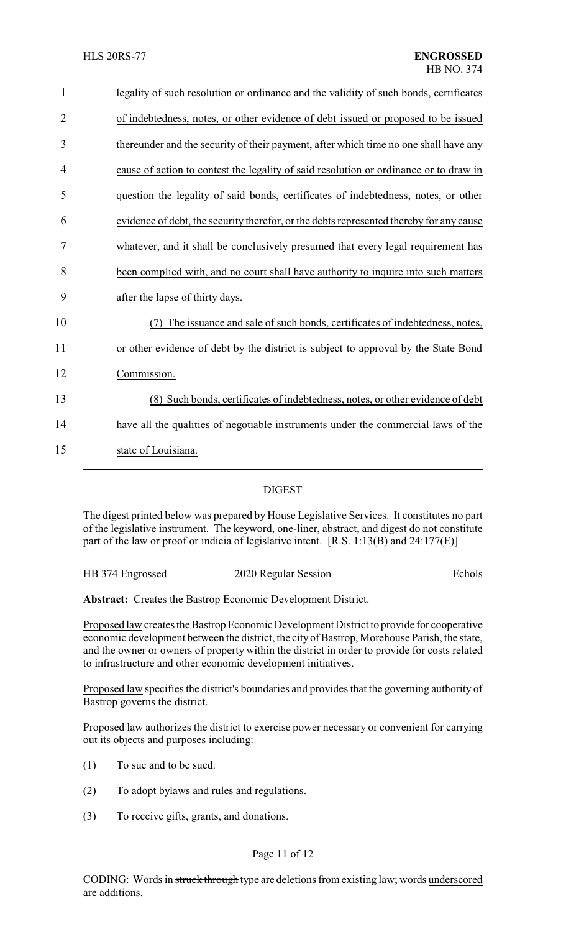| $\mathbf{1}$   | legality of such resolution or ordinance and the validity of such bonds, certificates   |
|----------------|-----------------------------------------------------------------------------------------|
| $\overline{2}$ | of indebtedness, notes, or other evidence of debt issued or proposed to be issued       |
| 3              | thereunder and the security of their payment, after which time no one shall have any    |
| 4              | cause of action to contest the legality of said resolution or ordinance or to draw in   |
| 5              | question the legality of said bonds, certificates of indebtedness, notes, or other      |
| 6              | evidence of debt, the security therefor, or the debts represented thereby for any cause |
| 7              | whatever, and it shall be conclusively presumed that every legal requirement has        |
| 8              | been complied with, and no court shall have authority to inquire into such matters      |
| 9              | after the lapse of thirty days.                                                         |
| 10             | The issuance and sale of such bonds, certificates of indebtedness, notes,               |
| 11             | or other evidence of debt by the district is subject to approval by the State Bond      |
| 12             | Commission.                                                                             |
| 13             | (8) Such bonds, certificates of indebtedness, notes, or other evidence of debt          |
| 14             | have all the qualities of negotiable instruments under the commercial laws of the       |
| 15             | state of Louisiana.                                                                     |
|                |                                                                                         |

### DIGEST

The digest printed below was prepared by House Legislative Services. It constitutes no part of the legislative instrument. The keyword, one-liner, abstract, and digest do not constitute part of the law or proof or indicia of legislative intent. [R.S. 1:13(B) and 24:177(E)]

| HB 374 Engrossed | 2020 Regular Session | Echols |
|------------------|----------------------|--------|
|                  |                      |        |

**Abstract:** Creates the Bastrop Economic Development District.

Proposed law creates the Bastrop Economic Development District to provide for cooperative economic development between the district, the city of Bastrop, Morehouse Parish, the state, and the owner or owners of property within the district in order to provide for costs related to infrastructure and other economic development initiatives.

Proposed law specifies the district's boundaries and provides that the governing authority of Bastrop governs the district.

Proposed law authorizes the district to exercise power necessary or convenient for carrying out its objects and purposes including:

- (1) To sue and to be sued.
- (2) To adopt bylaws and rules and regulations.
- (3) To receive gifts, grants, and donations.